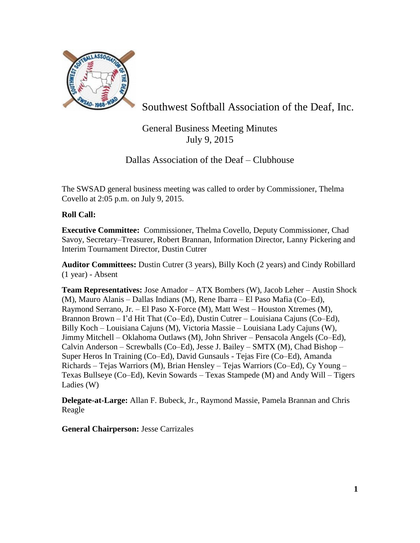

Southwest Softball Association of the Deaf, Inc.

# General Business Meeting Minutes July 9, 2015

# Dallas Association of the Deaf – Clubhouse

The SWSAD general business meeting was called to order by Commissioner, Thelma Covello at 2:05 p.m. on July 9, 2015.

## **Roll Call:**

**Executive Committee:** Commissioner, Thelma Covello, Deputy Commissioner, Chad Savoy, Secretary–Treasurer, Robert Brannan, Information Director, Lanny Pickering and Interim Tournament Director, Dustin Cutrer

**Auditor Committees:** Dustin Cutrer (3 years), Billy Koch (2 years) and Cindy Robillard (1 year) - Absent

**Team Representatives:** Jose Amador – ATX Bombers (W), Jacob Leher – Austin Shock (M), Mauro Alanis – Dallas Indians (M), Rene Ibarra – El Paso Mafia (Co–Ed), Raymond Serrano, Jr. – El Paso X-Force (M), Matt West – Houston Xtremes (M), Brannon Brown – I'd Hit That (Co–Ed), Dustin Cutrer – Louisiana Cajuns (Co–Ed), Billy Koch – Louisiana Cajuns (M), Victoria Massie – Louisiana Lady Cajuns (W), Jimmy Mitchell – Oklahoma Outlaws (M), John Shriver – Pensacola Angels (Co–Ed), Calvin Anderson – Screwballs (Co–Ed), Jesse J. Bailey – SMTX (M), Chad Bishop – Super Heros In Training (Co–Ed), David Gunsauls - Tejas Fire (Co–Ed), Amanda Richards – Tejas Warriors (M), Brian Hensley – Tejas Warriors (Co–Ed), Cy Young – Texas Bullseye (Co–Ed), Kevin Sowards – Texas Stampede (M) and Andy Will – Tigers Ladies (W)

**Delegate-at-Large:** Allan F. Bubeck, Jr., Raymond Massie, Pamela Brannan and Chris Reagle

**General Chairperson:** Jesse Carrizales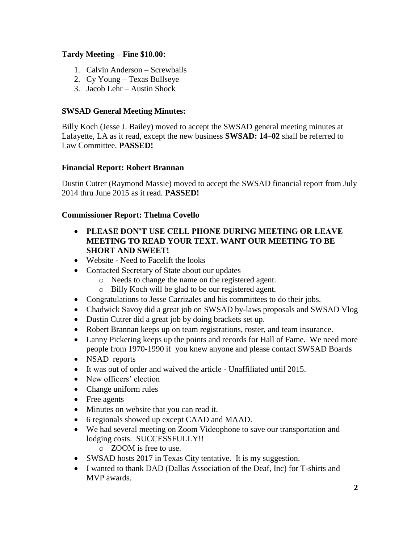## **Tardy Meeting – Fine \$10.00:**

- 1. Calvin Anderson Screwballs
- 2. Cy Young Texas Bullseye
- 3. Jacob Lehr Austin Shock

## **SWSAD General Meeting Minutes:**

Billy Koch (Jesse J. Bailey) moved to accept the SWSAD general meeting minutes at Lafayette, LA as it read, except the new business **SWSAD: 14–02** shall be referred to Law Committee. **PASSED!**

### **Financial Report: Robert Brannan**

Dustin Cutrer (Raymond Massie) moved to accept the SWSAD financial report from July 2014 thru June 2015 as it read. **PASSED!**

### **Commissioner Report: Thelma Covello**

- **PLEASE DON'T USE CELL PHONE DURING MEETING OR LEAVE MEETING TO READ YOUR TEXT. WANT OUR MEETING TO BE SHORT AND SWEET!**
- Website Need to Facelift the looks
- Contacted Secretary of State about our updates
	- o Needs to change the name on the registered agent.
	- o Billy Koch will be glad to be our registered agent.
- Congratulations to Jesse Carrizales and his committees to do their jobs.
- Chadwick Savoy did a great job on SWSAD by-laws proposals and SWSAD Vlog
- Dustin Cutrer did a great job by doing brackets set up.
- Robert Brannan keeps up on team registrations, roster, and team insurance.
- Lanny Pickering keeps up the points and records for Hall of Fame. We need more people from 1970-1990 if you knew anyone and please contact SWSAD Boards
- NSAD reports
- It was out of order and waived the article Unaffiliated until 2015.
- New officers' election
- Change uniform rules
- Free agents
- Minutes on website that you can read it.
- 6 regionals showed up except CAAD and MAAD.
- We had several meeting on Zoom Videophone to save our transportation and lodging costs. SUCCESSFULLY!!
	- o ZOOM is free to use.
- SWSAD hosts 2017 in Texas City tentative. It is my suggestion.
- I wanted to thank DAD (Dallas Association of the Deaf, Inc) for T-shirts and MVP awards.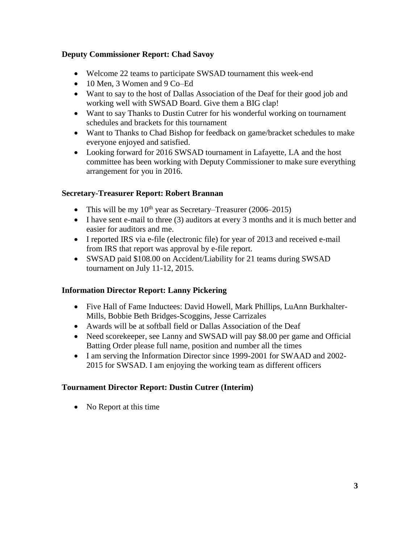## **Deputy Commissioner Report: Chad Savoy**

- Welcome 22 teams to participate SWSAD tournament this week-end
- 10 Men, 3 Women and 9 Co–Ed
- Want to say to the host of Dallas Association of the Deaf for their good job and working well with SWSAD Board. Give them a BIG clap!
- Want to say Thanks to Dustin Cutrer for his wonderful working on tournament schedules and brackets for this tournament
- Want to Thanks to Chad Bishop for feedback on game/bracket schedules to make everyone enjoyed and satisfied.
- Looking forward for 2016 SWSAD tournament in Lafayette, LA and the host committee has been working with Deputy Commissioner to make sure everything arrangement for you in 2016.

## **Secretary-Treasurer Report: Robert Brannan**

- This will be my  $10^{th}$  year as Secretary–Treasurer (2006–2015)
- I have sent e-mail to three (3) auditors at every 3 months and it is much better and easier for auditors and me.
- I reported IRS via e-file (electronic file) for year of 2013 and received e-mail from IRS that report was approval by e-file report.
- SWSAD paid \$108.00 on Accident/Liability for 21 teams during SWSAD tournament on July 11-12, 2015.

## **Information Director Report: Lanny Pickering**

- Five Hall of Fame Inductees: David Howell, Mark Phillips, LuAnn Burkhalter-Mills, Bobbie Beth Bridges-Scoggins, Jesse Carrizales
- Awards will be at softball field or Dallas Association of the Deaf
- Need scorekeeper, see Lanny and SWSAD will pay \$8.00 per game and Official Batting Order please full name, position and number all the times
- I am serving the Information Director since 1999-2001 for SWAAD and 2002- 2015 for SWSAD. I am enjoying the working team as different officers

## **Tournament Director Report: Dustin Cutrer (Interim)**

• No Report at this time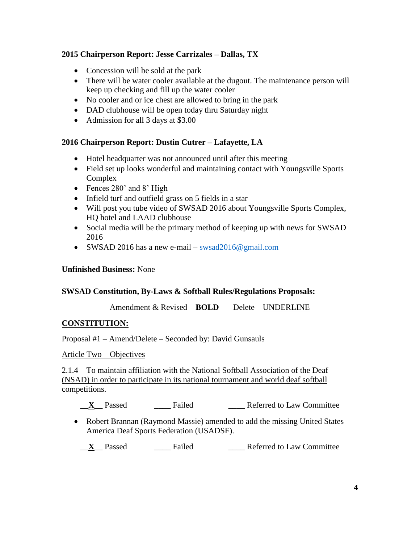## **2015 Chairperson Report: Jesse Carrizales – Dallas, TX**

- Concession will be sold at the park
- There will be water cooler available at the dugout. The maintenance person will keep up checking and fill up the water cooler
- No cooler and or ice chest are allowed to bring in the park
- DAD clubhouse will be open today thru Saturday night
- Admission for all 3 days at \$3.00

## **2016 Chairperson Report: Dustin Cutrer – Lafayette, LA**

- Hotel headquarter was not announced until after this meeting
- Field set up looks wonderful and maintaining contact with Youngsville Sports Complex
- Fences 280' and 8' High
- Infield turf and outfield grass on 5 fields in a star
- Will post you tube video of SWSAD 2016 about Youngsville Sports Complex, HQ hotel and LAAD clubhouse
- Social media will be the primary method of keeping up with news for SWSAD 2016
- SWSAD 2016 has a new e-mail [swsad2016@gmail.com](mailto:swsad2016@gmail.com)

## **Unfinished Business:** None

## **SWSAD Constitution, By-Laws & Softball Rules/Regulations Proposals:**

Amendment & Revised – **BOLD** Delete – UNDERLINE

## **CONSTITUTION:**

Proposal #1 – Amend/Delete – Seconded by: David Gunsauls

## Article Two – Objectives

2.1.4 To maintain affiliation with the National Softball Association of the Deaf (NSAD) in order to participate in its national tournament and world deaf softball competitions.

\_\_**X**\_\_ Passed \_\_\_\_ Failed \_\_\_\_ Referred to Law Committee

 Robert Brannan (Raymond Massie) amended to add the missing United States America Deaf Sports Federation (USADSF).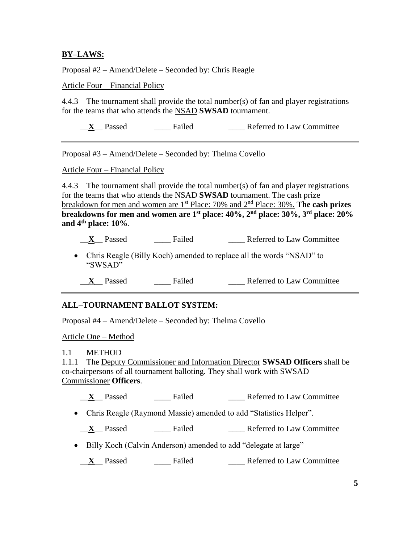### **BY–LAWS:**

Proposal #2 – Amend/Delete – Seconded by: Chris Reagle

Article Four – Financial Policy

4.4.3 The tournament shall provide the total number(s) of fan and player registrations for the teams that who attends the NSAD **SWSAD** tournament.

\_\_**X**\_\_ Passed \_\_\_\_ Failed \_\_\_\_ Referred to Law Committee

Proposal #3 – Amend/Delete – Seconded by: Thelma Covello

Article Four – Financial Policy

4.4.3 The tournament shall provide the total number(s) of fan and player registrations for the teams that who attends the NSAD **SWSAD** tournament. The cash prize breakdown for men and women are 1st Place: 70% and 2nd Place: 30%. **The cash prizes breakdowns for men and women are 1st place: 40%, 2nd place: 30%, 3rd place: 20% and 4th place: 10%**.

\_\_**X**\_\_ Passed \_\_\_\_ Failed \_\_\_\_ Referred to Law Committee

- Chris Reagle (Billy Koch) amended to replace all the words "NSAD" to "SWSAD"
	- \_\_**X**\_\_ Passed \_\_\_\_ Failed \_\_\_\_ Referred to Law Committee

#### **ALL–TOURNAMENT BALLOT SYSTEM:**

Proposal #4 – Amend/Delete – Seconded by: Thelma Covello

Article One – Method

#### 1.1 METHOD

1.1.1 The Deputy Commissioner and Information Director **SWSAD Officers** shall be co-chairpersons of all tournament balloting. They shall work with SWSAD Commissioner **Officers**.

\_\_**X**\_\_ Passed \_\_\_\_ Failed \_\_\_\_ Referred to Law Committee

- Chris Reagle (Raymond Massie) amended to add "Statistics Helper".
- \_\_**X**\_\_ Passed \_\_\_\_ Failed \_\_\_\_ Referred to Law Committee
- Billy Koch (Calvin Anderson) amended to add "delegate at large"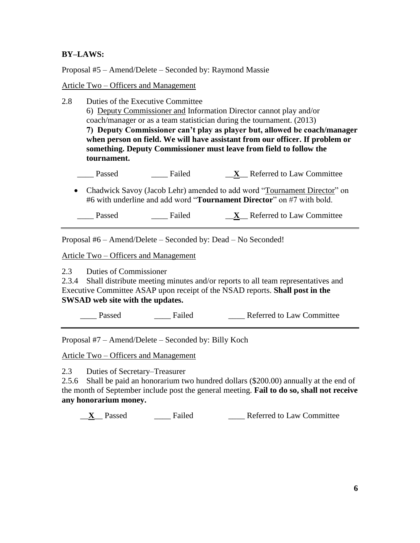## **BY–LAWS:**

Proposal #5 – Amend/Delete – Seconded by: Raymond Massie

#### Article Two – Officers and Management

- 2.8 Duties of the Executive Committee 6) Deputy Commissioner and Information Director cannot play and/or coach/manager or as a team statistician during the tournament. (2013) **7) Deputy Commissioner can't play as player but, allowed be coach/manager when person on field. We will have assistant from our officer. If problem or something. Deputy Commissioner must leave from field to follow the tournament.** \_\_\_\_ Passed \_\_\_\_ Failed \_\_**X**\_\_ Referred to Law Committee
	- Chadwick Savoy (Jacob Lehr) amended to add word "Tournament Director" on #6 with underline and add word "**Tournament Director**" on #7 with bold.

Passed Failed **X** Referred to Law Committee

Proposal #6 – Amend/Delete – Seconded by: Dead – No Seconded!

Article Two – Officers and Management

2.3 Duties of Commissioner

2.3.4 Shall distribute meeting minutes and/or reports to all team representatives and Executive Committee ASAP upon receipt of the NSAD reports. **Shall post in the SWSAD web site with the updates.**

Passed Failed Referred to Law Committee

Proposal #7 – Amend/Delete – Seconded by: Billy Koch

Article Two – Officers and Management

2.3 Duties of Secretary–Treasurer

2.5.6 Shall be paid an honorarium two hundred dollars (\$200.00) annually at the end of the month of September include post the general meeting. **Fail to do so, shall not receive any honorarium money.**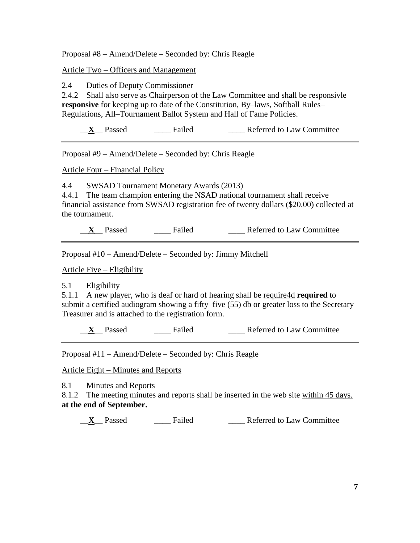Proposal #8 – Amend/Delete – Seconded by: Chris Reagle

Article Two – Officers and Management

2.4 Duties of Deputy Commissioner

2.4.2 Shall also serve as Chairperson of the Law Committee and shall be responsivle **responsive** for keeping up to date of the Constitution, By–laws, Softball Rules– Regulations, All–Tournament Ballot System and Hall of Fame Policies.

\_\_**X**\_\_ Passed \_\_\_\_ Failed \_\_\_\_ Referred to Law Committee

Proposal #9 – Amend/Delete – Seconded by: Chris Reagle

Article Four – Financial Policy

4.4 SWSAD Tournament Monetary Awards (2013)

4.4.1 The team champion entering the NSAD national tournament shall receive financial assistance from SWSAD registration fee of twenty dollars (\$20.00) collected at the tournament.

\_\_**X**\_\_ Passed \_\_\_\_ Failed \_\_\_\_ Referred to Law Committee

Proposal #10 – Amend/Delete – Seconded by: Jimmy Mitchell

Article Five – Eligibility

5.1 Eligibility

5.1.1 A new player, who is deaf or hard of hearing shall be require4d **required** to submit a certified audiogram showing a fifty–five (55) db or greater loss to the Secretary– Treasurer and is attached to the registration form.

\_\_**X**\_\_ Passed \_\_\_\_ Failed \_\_\_\_ Referred to Law Committee

Proposal #11 – Amend/Delete – Seconded by: Chris Reagle

Article Eight – Minutes and Reports

8.1 Minutes and Reports

8.1.2 The meeting minutes and reports shall be inserted in the web site within 45 days. **at the end of September.**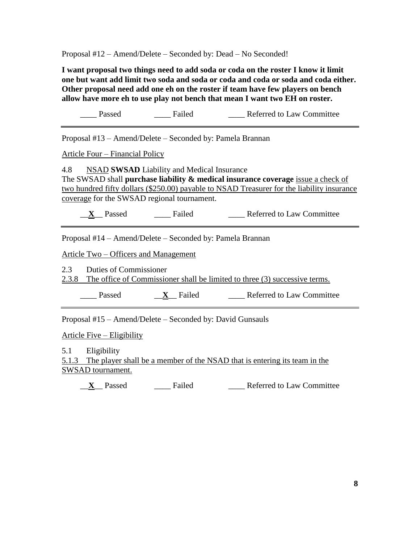Proposal #12 – Amend/Delete – Seconded by: Dead – No Seconded!

**I want proposal two things need to add soda or coda on the roster I know it limit one but want add limit two soda and soda or coda and coda or soda and coda either. Other proposal need add one eh on the roster if team have few players on bench allow have more eh to use play not bench that mean I want two EH on roster.**

Passed Failed Referred to Law Committee Proposal #13 – Amend/Delete – Seconded by: Pamela Brannan Article Four – Financial Policy 4.8 NSAD **SWSAD** Liability and Medical Insurance The SWSAD shall **purchase liability & medical insurance coverage** issue a check of two hundred fifty dollars (\$250.00) payable to NSAD Treasurer for the liability insurance coverage for the SWSAD regional tournament.

\_\_**X**\_\_ Passed \_\_\_\_ Failed \_\_\_\_ Referred to Law Committee

Proposal #14 – Amend/Delete – Seconded by: Pamela Brannan

Article Two – Officers and Management

2.3 Duties of Commissioner

2.3.8 The office of Commissioner shall be limited to three (3) successive terms.

Passed **X** Failed Referred to Law Committee

Proposal #15 – Amend/Delete – Seconded by: David Gunsauls

Article Five – Eligibility

5.1 Eligibility

5.1.3 The player shall be a member of the NSAD that is entering its team in the SWSAD tournament.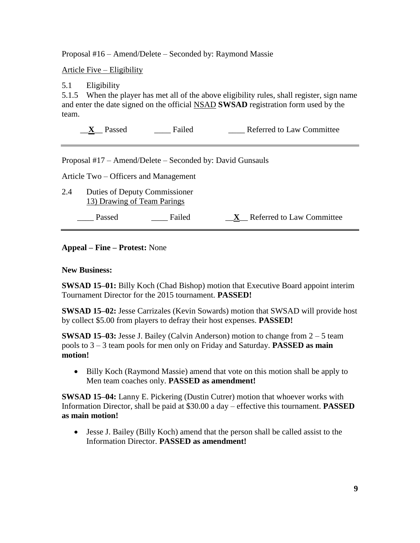Proposal #16 – Amend/Delete – Seconded by: Raymond Massie

Article Five – Eligibility

5.1 Eligibility

5.1.5 When the player has met all of the above eligibility rules, shall register, sign name and enter the date signed on the official NSAD **SWSAD** registration form used by the team.

\_\_**X**\_\_ Passed \_\_\_\_ Failed \_\_\_\_ Referred to Law Committee

Proposal #17 – Amend/Delete – Seconded by: David Gunsauls

Article Two – Officers and Management

2.4 Duties of Deputy Commissioner 13) Drawing of Team Parings

\_\_\_\_ Passed \_\_\_\_ Failed \_\_**X**\_\_ Referred to Law Committee

**Appeal – Fine – Protest:** None

**New Business:**

**SWSAD 15–01:** Billy Koch (Chad Bishop) motion that Executive Board appoint interim Tournament Director for the 2015 tournament. **PASSED!**

**SWSAD 15–02:** Jesse Carrizales (Kevin Sowards) motion that SWSAD will provide host by collect \$5.00 from players to defray their host expenses. **PASSED!**

**SWSAD 15–03:** Jesse J. Bailey (Calvin Anderson) motion to change from  $2 - 5$  team pools to 3 – 3 team pools for men only on Friday and Saturday. **PASSED as main motion!**

• Billy Koch (Raymond Massie) amend that vote on this motion shall be apply to Men team coaches only. **PASSED as amendment!**

**SWSAD 15–04:** Lanny E. Pickering (Dustin Cutrer) motion that whoever works with Information Director, shall be paid at \$30.00 a day – effective this tournament. **PASSED as main motion!**

 Jesse J. Bailey (Billy Koch) amend that the person shall be called assist to the Information Director. **PASSED as amendment!**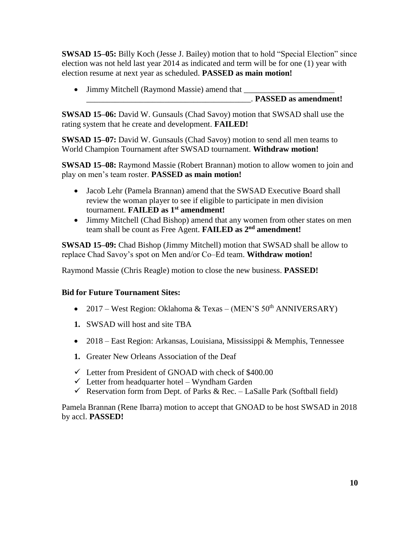**SWSAD 15–05:** Billy Koch (Jesse J. Bailey) motion that to hold "Special Election" since election was not held last year 2014 as indicated and term will be for one (1) year with election resume at next year as scheduled. **PASSED as main motion!**

 Jimmy Mitchell (Raymond Massie) amend that \_\_\_\_\_\_\_\_\_\_\_\_\_\_\_\_\_\_\_\_\_\_ \_\_\_\_\_\_\_\_\_\_\_\_\_\_\_\_\_\_\_\_\_\_\_\_\_\_\_\_\_\_\_\_\_\_\_\_\_\_\_\_. **PASSED as amendment!**

**SWSAD 15–06:** David W. Gunsauls (Chad Savoy) motion that SWSAD shall use the rating system that he create and development. **FAILED!**

**SWSAD 15–07:** David W. Gunsauls (Chad Savoy) motion to send all men teams to World Champion Tournament after SWSAD tournament. **Withdraw motion!**

**SWSAD 15–08:** Raymond Massie (Robert Brannan) motion to allow women to join and play on men's team roster. **PASSED as main motion!**

- Jacob Lehr (Pamela Brannan) amend that the SWSAD Executive Board shall review the woman player to see if eligible to participate in men division tournament. **FAILED as 1st amendment!**
- Jimmy Mitchell (Chad Bishop) amend that any women from other states on men team shall be count as Free Agent. **FAILED as 2nd amendment!**

**SWSAD 15–09:** Chad Bishop (Jimmy Mitchell) motion that SWSAD shall be allow to replace Chad Savoy's spot on Men and/or Co–Ed team. **Withdraw motion!**

Raymond Massie (Chris Reagle) motion to close the new business. **PASSED!**

## **Bid for Future Tournament Sites:**

- 2017 West Region: Oklahoma & Texas (MEN'S  $50<sup>th</sup>$  ANNIVERSARY)
- **1.** SWSAD will host and site TBA
- 2018 East Region: Arkansas, Louisiana, Mississippi & Memphis, Tennessee
- **1.** Greater New Orleans Association of the Deaf
- $\checkmark$  Letter from President of GNOAD with check of \$400.00
- $\checkmark$  Letter from headquarter hotel Wyndham Garden
- Reservation form from Dept. of Parks & Rec. LaSalle Park (Softball field)

Pamela Brannan (Rene Ibarra) motion to accept that GNOAD to be host SWSAD in 2018 by accl. **PASSED!**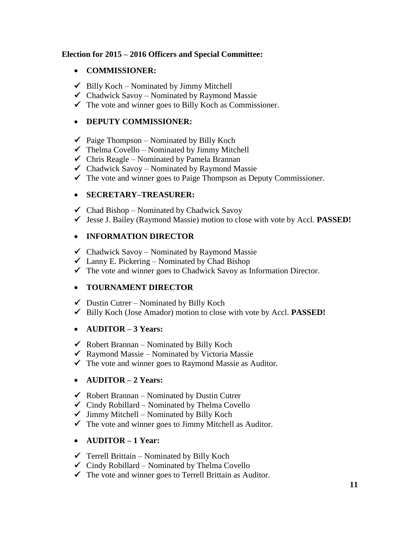## **Election for 2015 – 2016 Officers and Special Committee:**

## **COMMISSIONER:**

- $\checkmark$  Billy Koch Nominated by Jimmy Mitchell
- $\checkmark$  Chadwick Savoy Nominated by Raymond Massie
- $\checkmark$  The vote and winner goes to Billy Koch as Commissioner.

## **DEPUTY COMMISSIONER:**

- $\checkmark$  Paige Thompson Nominated by Billy Koch
- $\checkmark$  Thelma Covello Nominated by Jimmy Mitchell
- $\checkmark$  Chris Reagle Nominated by Pamela Brannan
- $\checkmark$  Chadwick Savoy Nominated by Raymond Massie
- $\checkmark$  The vote and winner goes to Paige Thompson as Deputy Commissioner.

## **SECRETARY–TREASURER:**

- $\checkmark$  Chad Bishop Nominated by Chadwick Savoy
- Jesse J. Bailey (Raymond Massie) motion to close with vote by Accl. **PASSED!**

## **INFORMATION DIRECTOR**

- $\checkmark$  Chadwick Savoy Nominated by Raymond Massie
- $\checkmark$  Lanny E. Pickering Nominated by Chad Bishop
- $\checkmark$  The vote and winner goes to Chadwick Savoy as Information Director.

## **TOURNAMENT DIRECTOR**

- $\checkmark$  Dustin Cutrer Nominated by Billy Koch
- Billy Koch (Jose Amador) motion to close with vote by Accl. **PASSED!**

## **AUDITOR – 3 Years:**

- $\checkmark$  Robert Brannan Nominated by Billy Koch
- $\checkmark$  Raymond Massie Nominated by Victoria Massie
- $\checkmark$  The vote and winner goes to Raymond Massie as Auditor.

## **AUDITOR – 2 Years:**

- $\checkmark$  Robert Brannan Nominated by Dustin Cutrer
- $\checkmark$  Cindy Robillard Nominated by Thelma Covello
- $\checkmark$  Jimmy Mitchell Nominated by Billy Koch
- $\checkmark$  The vote and winner goes to Jimmy Mitchell as Auditor.

# **AUDITOR – 1 Year:**

- $\checkmark$  Terrell Brittain Nominated by Billy Koch
- $\checkmark$  Cindy Robillard Nominated by Thelma Covello
- $\checkmark$  The vote and winner goes to Terrell Brittain as Auditor.